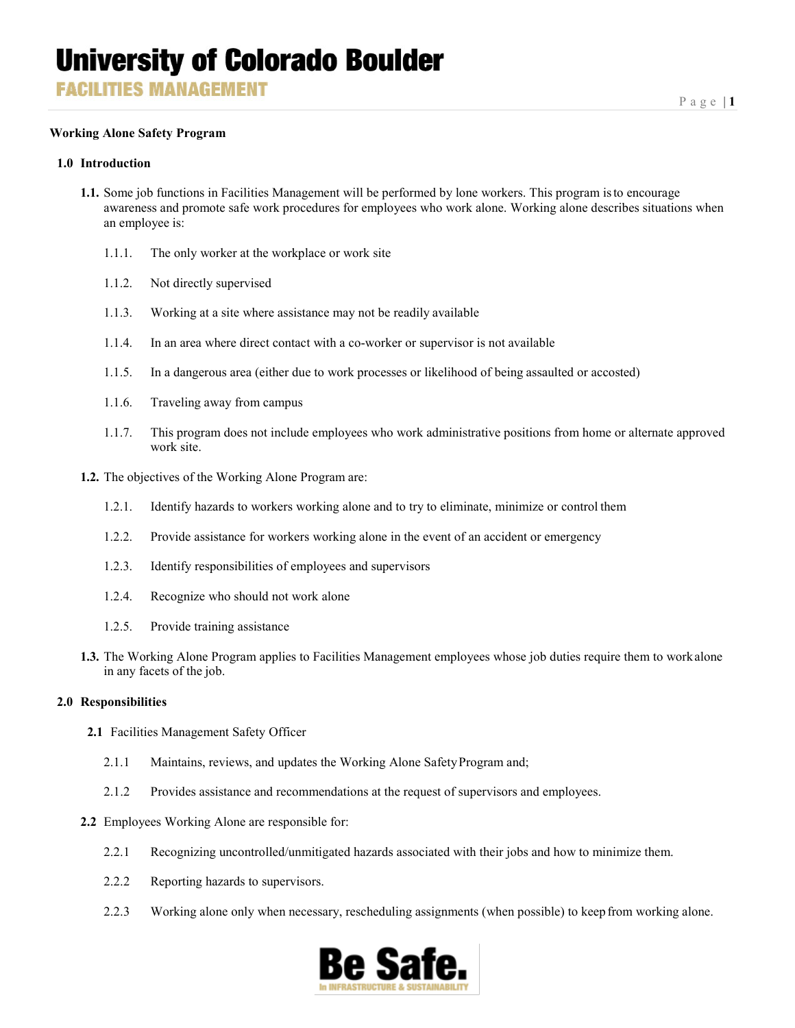**FACILITIES MANAGEMENT** 

## **Working Alone Safety Program**

#### **1.0 Introduction**

- **1.1.** Some job functions in Facilities Management will be performed by lone workers. This program isto encourage awareness and promote safe work procedures for employees who work alone. Working alone describes situations when an employee is:
	- 1.1.1. The only worker at the workplace or work site
	- 1.1.2. Not directly supervised
	- 1.1.3. Working at a site where assistance may not be readily available
	- 1.1.4. In an area where direct contact with a co-worker or supervisor is not available
	- 1.1.5. In a dangerous area (either due to work processes or likelihood of being assaulted or accosted)
	- 1.1.6. Traveling away from campus
	- 1.1.7. This program does not include employees who work administrative positions from home or alternate approved work site.
- **1.2.** The objectives of the Working Alone Program are:
	- 1.2.1. Identify hazards to workers working alone and to try to eliminate, minimize or control them
	- 1.2.2. Provide assistance for workers working alone in the event of an accident or emergency
	- 1.2.3. Identify responsibilities of employees and supervisors
	- 1.2.4. Recognize who should not work alone
	- 1.2.5. Provide training assistance
- **1.3.** The Working Alone Program applies to Facilities Management employees whose job duties require them to workalone in any facets of the job.

## **2.0 Responsibilities**

- **2.1** Facilities Management Safety Officer
	- 2.1.1 Maintains, reviews, and updates the Working Alone Safety Program and;
	- 2.1.2 Provides assistance and recommendations at the request of supervisors and employees.
- **2.2** Employees Working Alone are responsible for:
	- 2.2.1 Recognizing uncontrolled/unmitigated hazards associated with their jobs and how to minimize them.
	- 2.2.2 Reporting hazards to supervisors.
	- 2.2.3 Working alone only when necessary, rescheduling assignments (when possible) to keep from working alone.

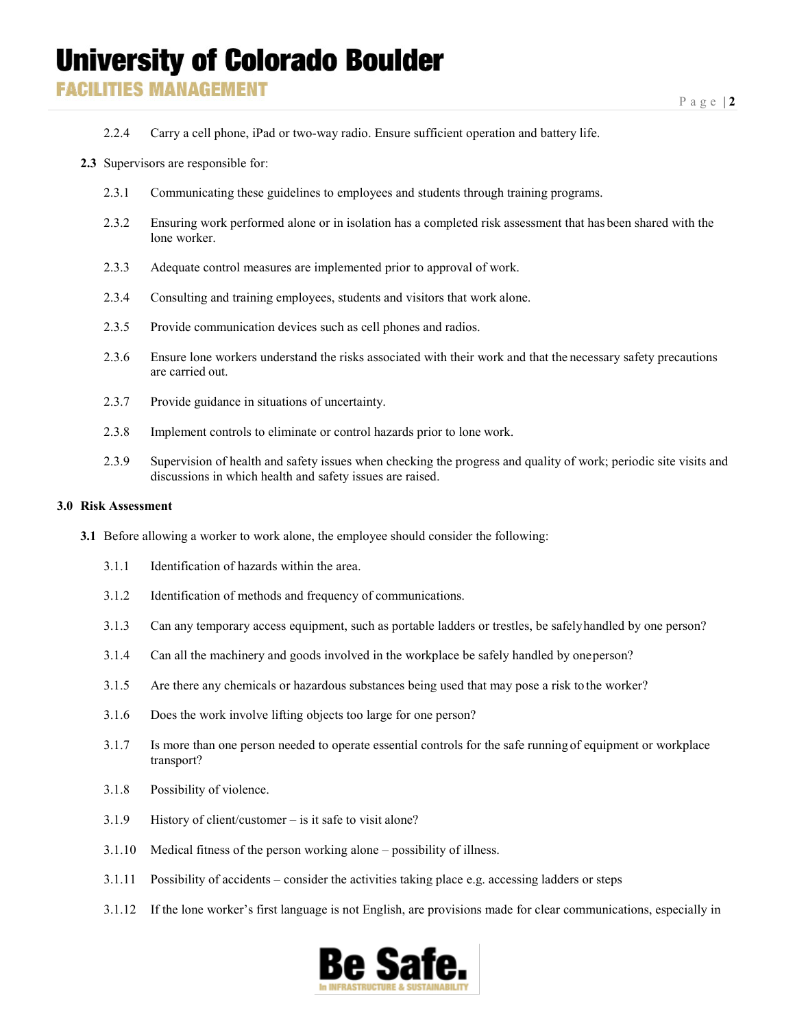## **University of Colorado Boulder**

**FACILITIES MANAGEMENT** 

- 2.2.4 Carry a cell phone, iPad or two-way radio. Ensure sufficient operation and battery life.
- **2.3** Supervisors are responsible for:
	- 2.3.1 Communicating these guidelines to employees and students through training programs.
	- 2.3.2 Ensuring work performed alone or in isolation has a completed risk assessment that has been shared with the lone worker.
	- 2.3.3 Adequate control measures are implemented prior to approval of work.
	- 2.3.4 Consulting and training employees, students and visitors that work alone.
	- 2.3.5 Provide communication devices such as cell phones and radios.
	- 2.3.6 Ensure lone workers understand the risks associated with their work and that the necessary safety precautions are carried out.
	- 2.3.7 Provide guidance in situations of uncertainty.
	- 2.3.8 Implement controls to eliminate or control hazards prior to lone work.
	- 2.3.9 Supervision of health and safety issues when checking the progress and quality of work; periodic site visits and discussions in which health and safety issues are raised.

### **3.0 Risk Assessment**

- **3.1** Before allowing a worker to work alone, the employee should consider the following:
	- 3.1.1 Identification of hazards within the area.
	- 3.1.2 Identification of methods and frequency of communications.
	- 3.1.3 Can any temporary access equipment, such as portable ladders or trestles, be safelyhandled by one person?
	- 3.1.4 Can all the machinery and goods involved in the workplace be safely handled by oneperson?
	- 3.1.5 Are there any chemicals or hazardous substances being used that may pose a risk to the worker?
	- 3.1.6 Does the work involve lifting objects too large for one person?
	- 3.1.7 Is more than one person needed to operate essential controls for the safe running of equipment or workplace transport?
	- 3.1.8 Possibility of violence.
	- 3.1.9 History of client/customer is it safe to visit alone?
	- 3.1.10 Medical fitness of the person working alone possibility of illness.
	- 3.1.11 Possibility of accidents consider the activities taking place e.g. accessing ladders or steps
	- 3.1.12 If the lone worker's first language is not English, are provisions made for clear communications, especially in

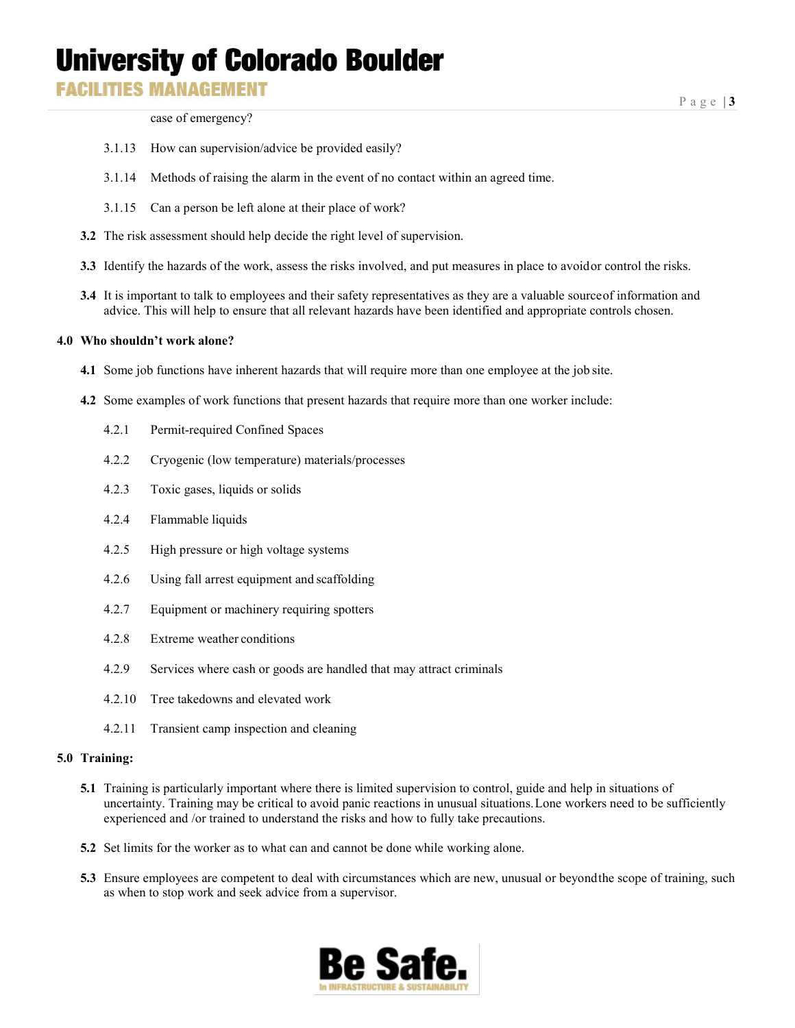## **University of Colorado Boulder**

## **FACILITIES MANAGEMENT**

Page | **3**

case of emergency?

- 3.1.13 How can supervision/advice be provided easily?
- 3.1.14 Methods of raising the alarm in the event of no contact within an agreed time.
- 3.1.15 Can a person be left alone at their place of work?
- **3.2** The risk assessment should help decide the right level of supervision.
- **3.3** Identify the hazards of the work, assess the risks involved, and put measures in place to avoidor control the risks.
- **3.4** It is important to talk to employees and their safety representatives as they are a valuable sourceof information and advice. This will help to ensure that all relevant hazards have been identified and appropriate controls chosen.

## **4.0 Who shouldn't work alone?**

- **4.1** Some job functions have inherent hazards that will require more than one employee at the job site.
- **4.2** Some examples of work functions that present hazards that require more than one worker include:
	- 4.2.1 Permit-required Confined Spaces
	- 4.2.2 Cryogenic (low temperature) materials/processes
	- 4.2.3 Toxic gases, liquids or solids
	- 4.2.4 Flammable liquids
	- 4.2.5 High pressure or high voltage systems
	- 4.2.6 Using fall arrest equipment and scaffolding
	- 4.2.7 Equipment or machinery requiring spotters
	- 4.2.8 Extreme weather conditions
	- 4.2.9 Services where cash or goods are handled that may attract criminals
	- 4.2.10 Tree takedowns and elevated work
	- 4.2.11 Transient camp inspection and cleaning

#### **5.0 Training:**

- **5.1** Training is particularly important where there is limited supervision to control, guide and help in situations of uncertainty. Training may be critical to avoid panic reactions in unusual situations.Lone workers need to be sufficiently experienced and /or trained to understand the risks and how to fully take precautions.
- **5.2** Set limits for the worker as to what can and cannot be done while working alone.
- **5.3** Ensure employees are competent to deal with circumstances which are new, unusual or beyondthe scope of training, such as when to stop work and seek advice from a supervisor.